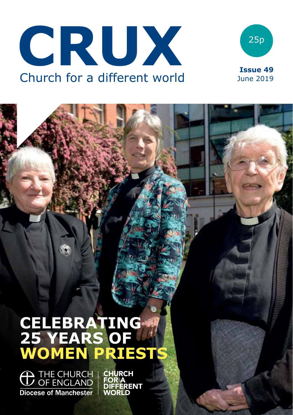



# **CELEBRATING 25 YEARS OF WOMEN PRIESTS**

**O THE CHURCH | CHURCH<br>OF ENGLAND | FOR A**<br>DIFFERENT Diocese of Manchester

**WORLD**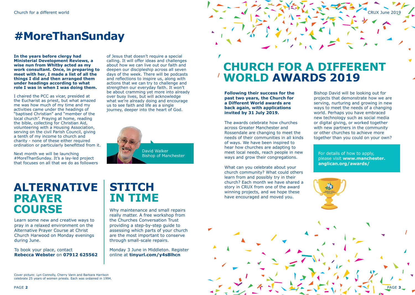# **#MoreThanSunday**

**In the years before clergy had Ministerial Development Reviews, a wise nun from Whitby acted as my work consultant. Once, in preparing to meet with her, I made a list of all the things I did and then arranged them under headings according to what role I was in when I was doing them.**

I chaired the PCC as vicar, presided at the Eucharist as priest, but what amazed me was how much of my time and my activities came under the headings of "baptised Christian" and "member of the local church". Praying at home, reading the bible, collecting for Christian Aid, volunteering with a Housing Association, serving on the civil Parish Council, giving a tenth of my income to church and charity - none of these either required ordination or particularly benefitted from it.

Next month we will be launching #MoreThanSunday. It's a lay-led project that focuses on all that we do as followers

of Jesus that doesn't require a special calling. It will offer ideas and challenges about how we can live out our faith and deepen our discipleship across all seven days of the week. There will be podcasts and reflections to inspire us, along with actions that we can try to challenge and strengthen our everyday faith. It won't be about cramming yet more into already over busy lives, but will acknowledge what we're already doing and encourage us to see faith and life as a single journey, deeper into the heart of God.



# **CHURCH FOR A DIFFERENT WORLD AWARDS 2019**

**Following their success for the past two years, the Church for a Different World awards are back again, with applications invited by 31 July 2019.**

The awards celebrate how churches across Greater Manchester and Rossendale are changing to meet the needs of their communities in all kinds of ways. We have been inspired to hear how churches are adapting to meet local needs, reach people in new ways and grow their congregations.

What can you celebrate about your church community? What could others learn from and possibly try in their church? Each month we have shared a story in CRUX from one of the award winning projects, and we hope these have encouraged and moved you.

Bishop David will be looking out for projects that demonstrate how we are serving, nurturing and growing in new ways to meet the needs of a changing world. Perhaps you have embraced new technology such as social media or digital giving, or worked together with new partners in the community or other churches to achieve more together than you could on your own?

CRUX June 2019

For details of how to apply, please visit **www.manchester. anglican.org/awards/**



# **ALTERNATIVE PRAYER COURSE**

Learn some new and creative ways to pray in a relaxed environment on the Alternative Prayer Course at Christ Church Harwood on Monday evenings during June.

To book your place, contact **Rebecca Webster** on **07912 625562**

# **STITCH IN TIME**

Why maintenance and small repairs really matter. A free workshop from the Churches Conversation Trust providing a step-by-step guide to assessing which parts of your church are the most important to conserve through small-scale repairs.

Monday 3 June in Middleton. Register online at **tinyurl.com/y4s8lhcn**

Cover picture: Lyn Connolly, Cherry Vann and Barbara Harrison celebrate 25 years of women priests. Each was ordained in 1994.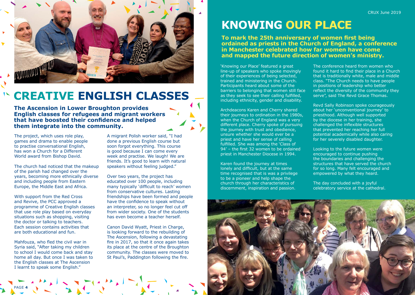

# **CREATIVE ENGLISH CLASSES**

**The Ascension in Lower Broughton provides English classes for refugees and migrant workers that have boosted their confidence and helped them integrate into the community.** 

The project, which uses role play. games and drama to enable people to practise conversational English, has won a Church for a Different World award from Bishop David.

The church had noticed that the makeup of the parish had changed over the years, becoming more ethnically diverse and including people from Eastern Europe, the Middle East and Africa.

With support from the Red Cross and Revive, the PCC approved a programme of Creative English classes that use role play based on everyday situations such as shopping, visiting the doctor or talking to teachers. Each session contains activities that are both educational and fun.

Mahfouza, who fled the civil war in Syria said, "After taking my children to school I would come back and stay home all day. But once I was taken to the English classes at The Ascension I learnt to speak some English."

A migrant Polish worker said, "I had done a previous English course but soon forgot everything. This course is good because I can come every week and practise. We laugh! We are friends. It's good to learn with natural speakers without feeling judged."

Over two years, the project has educated over 100 people, including many typically 'difficult to reach' women from conservative cultures. Lasting friendships have been formed and people have the confidence to speak without an interpreter, so no longer feel cut off from wider society. One of the students has even become a teacher herself.

Canon David Wyatt, Priest in Charge, is looking forward to the rebuilding of The Ascension, following a devastating fire in 2017, so that it once again takes its place at the centre of the Broughton community. The classes were moved to St Paul's, Paddington following the fire.

# **KNOWING OUR PLACE**

**To mark the 25th anniversary of women first being ordained as priests in the Church of England, a conference in Manchester celebrated how far women have come and mapped the future direction of women's ministry.**

'Knowing our Place' featured a great line-up of speakers who spoke movingly of their experiences of being selected, trained and ministering in the Church. Participants heard about some of the barriers to belonging that women still face as they seek to see their calling fulfilled, including ethnicity, gender and disability.

Archdeacons Karen and Cherry shared their journeys to ordination in the 1980s, when the Church of England was a very different place. Cherry spoke of pursuing the journey with trust and obedience, unsure whether she would ever be a priest and have her sense of calling fulfilled. She was among the 'Class of 94' – the first 32 women to be ordained priest in Manchester Diocese in 1994.

Karen found the journey at times lonely and difficult, but at the same time recognised that is was a privilege to be a pioneer and help shape the church through her characteristics of discernment, inspiration and passion.

The conference heard from women who found it hard to find their place in a Church that is traditionally white, male and middle class. "The Church needs to have people in positions of leadership who better reflect the diversity of the community they serve", said The Revd Grace Thomas.

Revd Sally Robinson spoke courageously about her 'unconventional journey' to priesthood. Although well supported by the diocese in her training, she challenged the inflexible structures that prevented her reaching her full potential academically while also caring for her severely disabled daughter.

Looking to the future women were encouraged to continue pushing the boundaries and challenging the structures that have served the church for so long. Many felt encouraged and empowered by what they heard.

The day concluded with a joyful celebratory service at the cathedral.

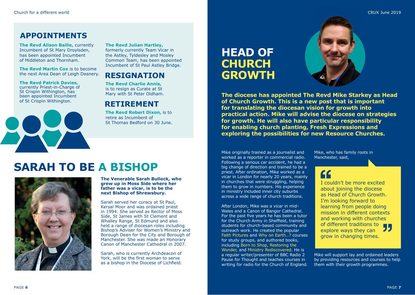### **APPOINTMENTS**

**The Revd Alison Bailie,** currently Incumbent of St Mary Droylsden, has been appointed Incumbent of Middleton and Thornham.

**The Revd Martin Cox** is to become the next Area Dean of Leigh Deanery.

#### **The Revd Patrick Davies,**  currently Priest-in-Charge of St Crispin Withington, has been appointed Incumbent of St Crispin Withington.



#### **The Revd Julian Hartley,** formerly currently Team Vicar in the Astley, Tyldesley and Mosley Common Team, has been appointed

### **RESIGNATION**

Incumbent of St Paul Astley Bridge.

**The Revd Charlie Annis,**  is to resign as Curate at St Mary with St Peter Oldham.

### **RETIREMENT**

**The Revd Robert Dixon, is to** retire as Incumbent of St Thomas Bedford on 30 June.

# **HEAD OF CHURCH GROWTH**



**The diocese has appointed The Revd Mike Starkey as Head of Church Growth. This is a new post that is important for translating the diocesan vision for growth into practical action. Mike will advise the diocese on strategies for growth. He will also have particular responsibility for enabling church planting, Fresh Expressions and exploring the possibilities for new Resource Churches.**

# **SARAH TO BE A BISHOP**



**The Venerable Sarah Bullock, who grew up in Moss Side where her father was a vicar, is to be the next Bishop of Shrewsbury.** 

Sarah served her curacy at St Paul, Kersal Moor and was ordained priest in 1994. She served as Rector of Moss Side, St James with St Clement and Whalley Range, St Edmund and also held a range of diocesan roles including Bishop's Adviser for Women's Ministry and Borough Dean for the City and Borough of Manchester. She was made an Honorary Canon of Manchester Cathedral in 2007.

Sarah, who is currently Archdeacon of York, will be the first woman to serve as a bishop in the Diocese of Lichfield.

Mike originally trained as a journalist and worked as a reporter in commercial radio. Following a serious car accident, he had a big change of direction and trained to be a priest. After ordination, Mike worked as a vicar in London for nearly 20 years, mainly in churches that were struggling, helping them to grow in numbers. His experience in ministry included inner city suburbs across a wide range of church traditions.

After London, Mike was a vicar in mid-Wales and a Canon of Bangor Cathedral. For the past five years he has been a tutor for the Church Army in Sheffield, training students for church-based community and outreach work. He created the popular Faith Pictures and Why on Earth…? courses for study groups, and authored books, including Born to Shop, Restoring the Wonder, and Ministry Rediscovered. He is a regular writer/presenter of BBC Radio 2 Pause for Thought and teaches courses in writing for radio for the Church of England.

Mike, who has family roots in Manchester, said,

I couldn't be more excited about joining the diocese as Head of Church Growth. I'm looking forward to learning from people doing mission in different contexts and working with churches of different traditions to **y** explore ways they can grow in changing times.

Mike will support lay and ordained leaders by providing resources and courses to help them with their growth programmes.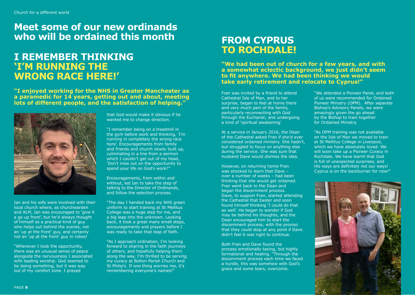## **Meet some of our new ordinands who will be ordained this month FROM CYPRUS**

### **I REMEMBER THINKING 'I'M RUNNING THE WRONG RACE HERE!'**

**"I enjoyed working for the NHS in Greater Manchester as a paramedic for 14 years, getting out and about, meeting lots of different people, and the satisfaction of helping."**



Ian and his wife were involved with their local church where, as churchwarden and ALM, Ian was encouraged to 'give it a go up front', but he'd always thought of himself as a practical kind of guy who helps out behind the scenes, not an 'up at the front' guy, and certainly not an 'up at the front' guy in robes!

"Whenever I took the opportunity, there was an unusual sense of peace alongside the nervousness I associated with leading worship. God seemed to be doing something, but it was way out of my comfort zone. I prayed

that God would make it obvious if he wanted me to change direction.

"I remember being on a treadmill in the gym before work and thinking, 'I'm running in completely the wrong race here'. Encouragements from family and friends and church slowly built up, culminating in a line from a sermon which I couldn't get out of my head, 'Don't miss out on the opportunity to spend your life on God's work!'"

Encouragements, from within and without, led Ian to take the step of talking to the Director of Ordinands, and follow the selection process.

"The day I handed back my NHS green uniform to start training at St Mellitus College was a huge step for me, and a big leap into the unknown. Looking back, it took a great many small steps, encouragements and prayers before I was ready to take that leap of faith.

"As I approach ordination, I'm looking forward to sharing in the faith journeys of others, and hopefully helping them along the way. I'm thrilled to be serving my curacy at Bolton Parish Church and St Philip's. If one thing worries me, it's remembering everyone's names!"

# **TO ROCHDALE!**

**"We had been out of church for a few years, and with a somewhat eclectic background, we just didn't seem to fit anywhere. We had been thinking we would take early retirement and relocate to Cyprus!"**

Fran was invited by a friend to attend Cathedral Isle of Man, and to her surprise, began to feel at home there and very much part of the family, particularly reconnecting with God through the Eucharist; and undergoing a kind of 'spiritual awakening'.

At a service in January 2016, the Dean of the Cathedral asked Fran if she'd ever considered ordained ministry. She hadn't, but struggled to focus on anything else during the service. She was sure that husband Dave would dismiss the idea.

However, on returning home Fran was shocked to learn that Dave – over a number of weeks – had been thinking that she would get ordained. Fran went back to the Dean and began the discernment process. Dave, to support Fran, started attending the Cathedral that Easter and soon found himself thinking 'I could do that as well'. He began to wonder if God may be behind his thoughts, and the Dean encouraged him to start the discernment process, with the proviso that they could stop at any point if Dave didn't feel it was right to continue.

Both Fran and Dave found the process emotionally taxing, but highly formational and healing. "Through the discernment process each time we faced a hurdle, this was somehow with God's grace and some tears, overcome.

"We attended a Pioneer Panel, and both of us were recommended for Ordained Pioneer Ministry (OPM). After separate Bishop's Advisory Panels, we were amazingly given the go ahead by the Bishop to train together for Ordained Ministry.

"As OPM training was not available on the Isle of Man we moved to train at St Mellitus College in Liverpool, which we have absolutely loved. We will soon take up a Pioneer Curacy in Rochdale. We have learnt that God is full of unexpected surprises, and His ways are definitely not our ways! Cyprus is on the backburner for now!"

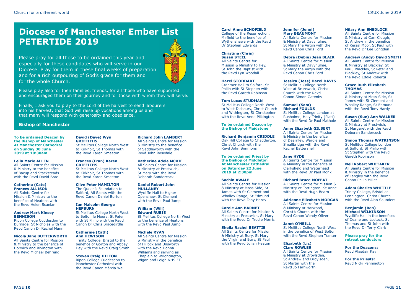### **Diocese of Manchester Ember List PETERTIDE 2019**

Please pray for all those to be ordained this year and especially for these candidates who will serve in our Diocese. Pray for them in these final weeks of preparation and for a rich outpouring of God's grace for them and for the whole Church.



Please pray also for their families, friends, for all those who have supported and encouraged them on their journey and for those with whom they will serve.

Finally, I ask you to pray to the Lord of the harvest to send labourers into his harvest, that God will raise up vocations among us and that many will respond with generosity and obedience.

#### **Bishop of Manchester**

**To be ordained Deacon by the Bishop of Manchester At Manchester Cathedral on Sunday 30 June 2019 at 10:30am**

#### **Leila Marie ALLEN**

All Saints Centre for Mission & Ministry to the benefice of Bacup and Stacksteads with the Revd David Brae

#### **Catherine (Cate)**

**Frances ALLISON** All Saints Centre for Mission & Ministry to the benefice of Heatons with the Revd Helen Scanlan

#### **Andrew Mark Kinsey BENNISON**

Ripon College Cuddesdon to Burnage, St Nicholas with the Revd Canon Dr Rachel Mann

#### **Nicola Jane BUTTERWORTH**

All Saints Centre for Mission & Ministry to the benefice of Horwich and Rivington with the Revd Michael Behrend

**David (Dave) Wyn GRIFFITHS** St Mellitus College North West to Kirkholt, St Thomas with the Revd Karen Smeeton

#### **Frances (Fran) Karen GRIFFITHS**

St Mellitus College North West to Kirkholt, St Thomas with the Revd Karen Smeeton

**Clive Peter HAMILTON** The Queen's Foundation to Salford, All Saints with the Revd Canon Daniel Burton

#### **Ian Malcolm George HEPBURN**

St Mellitus College North West to Bolton le Moors, St Peter with St Philip with the Revd Canon Dr Chris Bracegirdle

#### **Catherine (Cath) Ann HEWISON**

Trinity College, Bristol to the benefice of Gorton and Abbey Hey with the Revd Craig Smith

#### **Steven Craig HILTON**

Ripon College Cuddesdon to Manchester Cathedral with the Revd Canon Márcia Wall

**Richard John LAMBERT** All Saints Centre for Mission & Ministry to the benefice of Saddleworth with the Revd John Rosedale

**Katherine Adele MCKIE** All Saints Centre for Mission & Ministry at Prestwich, St Mary with the Revd Deborah Sandercock

#### **Daniel Robert John MULLANEY**

Wycliffe Hall to Higher Openshaw, St Clement with the Revd Paul Jump

**William (Will) Edward RUBIE** St Mellitus College North West

to the benefice of Heatons with the Revd Paul Jump

#### **Michele RYAN**

All Saints Centre for Mission & Ministry in the benefice of Hillock and Unsworth with the Revd Donna Williams and serving as Chaplain to Wrightington, Wigan and Leigh NHS FT

#### **Carol Anne SCHOFIELD**

College of the Resurrection, Mirfield to the benefice of Wythenshawe with the Revd Dr Stephen Edwards

#### **Christine (Chris) Susan STEEL**

All Saints Centre for Mission & Ministry to Hey, St John the Baptist with the Revd Lyn Woodall

#### **Hazel STODDART**

Cranmer Hall to Salford, St Philip with St Stephen with the Revd Gareth Robinson

#### **Tom Lucas STUDMAN**

St Mellitus College North West to West Didsbury, Christ Church and Withington, St Christopher with the Revd Anne Pilkington

 **To be ordained Deacon by the Bishop of Maidstone**

#### **Richard Benjamin CRIDDLE** Oak Hill College to Chadderton,

Revd John Simmons **To be ordained Priest by the Bishop of Middleton At Manchester Cathedral on Saturday 22 June 2019 at 2:30pm**

Christ Church with the

#### **Sachin AWALE**

All Saints Centre for Mission & Ministry at Moss Side, St James with St Clement and Whalley Range, St Edmund with the Revd Tony Hardy

#### **Carole Ann BARNET**

All Saints Centre for Mission &

with the Revd Dr Trudie Morris **Sheila Rachel BEATTIE** All Saints Centre for Mission & Ministry at Bury, St Mary the Virgin and Bury, St Paul with the Revd Julian Heaton

Ministry at Prestwich, St Mary

#### **Janet O'NEILL**

St Mellitus College North West in the benefice of West Bolton with the Revd Stephen Tranter

#### **Elizabeth (Liz)**

**Jennifer (Jenni) Mary BEAUMONT** All Saints Centre for Mission & Ministry at Davyhulme, St Mary the Virgin with the Revd Canon Chris Ford

**Debra (Debie) Jean BLAIR** All Saints Centre for Mission & Ministry at Davyhulme, St Mary the Virgin with the Revd Canon Chris Ford

**Jessica (Jess) Hazel DAVIS** St Mellitus College North West at Brunswick, Christ Church with the Revd Canon Simon Gatenby **Samuel (Sam) Richard FOULDS**

St Mellitus College London at Rusholme, Holy Trinity (Platt) with the Revd Dr Paul Mathole **Anne Elizabeth GILBERT** All Saints Centre for Mission & Ministry in the benefice of Dearnley, Wardle and Smallbridge with the Revd Rachel Battershell **Jane HYDE**

All Saints Centre for Mission & Ministry in the benefice of Clarksfield and Waterhead with the Revd Dr Paul Monk **Richard Bruce MOFFAT** All Saints Centre for Mission & Ministry at Tottington, St Anne with the Revd Hugh Bearn **Adrienne Elizabeth MORGAN** All Saints Centre for Mission & Ministry at Harwood, Christ's Church with the Revd Canon Wendy Oliver

**Clare ROWLES** All Saints Centre for Mission & Ministry at Droylsden, St Andrew and Droylsden. St Martin with the Revd Jo Farnworth

#### **Hilary Ann SHEDLOCK**

All Saints Centre for Mission & Ministry at Carr Clough, St Andrew in the benefice of Kersal Moor, St Paul with the Revd Dr Lee Longden

#### **Andrew (Andy) David SMITH**

All Saints Centre for Mission & Ministry at Blackley, St Paul, Blackley, St Peter and Blackley, St Andrew with the Revd Eddie Robert**s**

#### **Grace Ruth Elizabeth THOMAS**

All Saints Centre for Mission & Ministry at Moss Side, St James with St Clement and Whalley Range, St Edmund with the Revd Tony Hardy

#### **Susan (Sue) Ann WALKER**

All Saints Centre for Mission & Ministry at Prestwich, St Margaret with the Revd Deborah Sandercock

#### **Simon Thomas WATKINSON**

St Mellitus College London at Salford, St Philip with St Stephen with the Revd Gareth Robinson

#### **Neil Robert WHITAKER**

All Saints Centre for Mission & Ministry in the benefice of Langley with the Revd Canon Philip Miller

#### **Adam Charles WHITTLE**

Trinity College, Bristol at Pennington, Christ Church with the Revd Alan Saunders

#### **Benjamin (Ben) Michael WILKINSON**

Wycliffe Hall in the benefices of Deane and Lostock, St Thomas and St John with the Revd Dr Terry Clark

#### **Please pray for the retreat conductors**

**For the Deacons:**  Revd Alasdair Kay

**For the Priests:**  Revd Nicki Pennington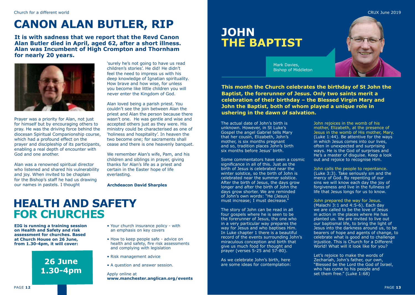# **CANON ALAN BUTLER, RIP**

**It is with sadness that we report that the Revd Canon Alan Butler died in April, aged 62, after a short illness. Alan was Incumbent of High Crompton and Thornham for nearly 20 years.**



Prayer was a priority for Alan, not just for himself but by encouraging others to pray. He was the driving force behind the diocesan Spiritual Companionship course, which had a profound effect on the prayer and discipleship of its participants, enabling a real depth of encounter with God and one another.

Alan was a renowned spiritual director who listened and shared his vulnerability and joy. When invited to be chaplain for the Bishop's staff he had us drawing our names in pastels. I thought

'surely he's not going to have us read children's stories'. He did! He didn't feel the need to impress us with his deep knowledge of Ignatian spirituality. How brave and how wise, for unless you become like little children you will never enter the Kingdom of God.

Alan loved being a parish priest. You couldn't see the join between Alan the priest and Alan the person because there wasn't one. He was gentle and wise and accepted others just as they were. His ministry could be characterised as one of 'holiness and hospitality'. In heaven the two become one; for sacraments shall cease and there is one heavenly banquet.

We remember Alan's wife, Pam, and his children and siblings in prayer, giving thanks for Alan's life as a priest and certain in the Easter hope of life everlasting.

**Archdeacon David Sharples**

# **HEALTH AND SAFETY FOR CHURCHES**

**EIG is running a training session on Health and Safety and risk assessment for churches. Based at Church House on 26 June, from 1.30-4pm, it will cover:**



- Your church insurance policy with an emphasis on key covers
- How to keep people safe advice on health and safety, fire risk assessments and complying with legislation
- Risk management advice
- A question and answer session.

#### Apply online at **[www.manchester.anglican.org/events](http://www.manchester.anglican.org/events)**

# **JOHN THE BAPTIST**



CRUX June 2019

Mark Davies, Bishop of Middleton

**This month the Church celebrates the birthday of St John the Baptist, the forerunner of Jesus. Only two saints merit a celebration of their birthday – the Blessed Virgin Mary and John the Baptist, both of whom played a unique role in ushering in the dawn of salvation.**

The actual date of John's birth is unknown. However, in St Luke's Gospel the angel Gabriel tells Mary that her cousin, Elizabeth, John's mother, is six months pregnant and so, tradition places John's birth six months before Jesus' birth.

Some commentators have seen a cosmic significance in all of this. Just as the birth of Jesus is celebrated near the winter solstice, so the birth of John is celebrated near the summer solstice. After the birth of Jesus, the days grow longer and after the birth of John the days grow shorter. We are reminded of John's own words: "He (Jesus) must increase; I must decrease."

The story of John can be read in all four gospels where he is seen to be the forerunner of Jesus, the one who in a very particular way prepares the way for Jesus and who baptises Him. In Luke chapter 1 there is a beautiful record of the events surrounding John's miraculous conception and birth that give us much food for thought and prayer (verses 5-25 and 57-80).

As we celebrate John's birth, here are some ideas for contemplation: John rejoices in the womb of his mother, Elizabeth, at the presence of Jesus in the womb of His mother, Mary. (Luke 1:44). Be attentive for the ways in which Jesus comes into our lives, often in unexpected and surprising ways. He is the God of surprises and He's a master of disguise. Keep a look out and rejoice to recognise Him.

#### John calls the people to repentance. (Luke 3:3). Take seriously sin and the mercy of God. By repenting of our sins we will know each day the joy of forgiveness and live in the fullness of life that Jesus longs for us to know.

John prepared the way for Jesus. (Malachi 3:1 and 4:5-6). Each day we are called to be the love of Jesus in action in the places where He has planted us. We are invited to live out our baptismal life, to bring the light of Jesus into the darkness around us, to be bearers of hope and agents of change, to celebrate what is good and to challenge injustice. This is Church for a Different

Let's rejoice to make the words of Zechariah, John's father, our own, "Blessed be the Lord the God of Israel, who has come to his people and set them free." (Luke 1:68)

World! What will it look like for you?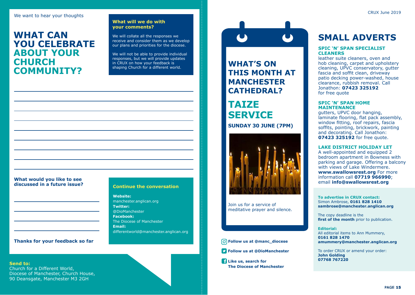### **WHAT CAN YOU CELEBRATE ABOUT YOUR CHURCH COMMUNITY?**

#### **What will we do with your comments?**

We will collate all the responses we receive and consider them as we develop our plans and priorities for the diocese.

We will not be able to provide individual responses, but we will provide updates in CRUX on how your feedback is shaping Church for a different world.

## **What would you like to see**

#### **Continue the conversation**

**Website:** manchester.anglican.org **Twitter:** @DioManchester **Facebook:** The Diocese of Manchester **Email:**  differentworld@manchester.anglican.org

#### **Thanks for your feedback so far**

**Send to:** Church for a Different World, Diocese of Manchester, Church House, 90 Deansgate, Manchester M3 2GH

# **WHAT'S ON THIS MONTH AT**

### **MANCHESTER CATHEDRAL?**

### **TAIZE SERVICE SUNDAY 30 JUNE (7PM)**



Join us for a service of meditative prayer and silence.

#### **Follow us at @manc\_diocese**

**Follow us at @DioManchester**

**Like us, search for The Diocese of Manchester**

### **SMALL ADVERTS**

#### **SPIC 'N' SPAN SPECIALIST CLEANERS**

leather suite cleaners, oven and hob cleaning, carpet and upholstery cleaning, UPVC conservatory, gutter fascia and soffit clean, driveway patio decking power-washed, house clearance, rubbish removal. Call Jonathon: **07423 325192** for free quote

#### **SPIC 'N' SPAN HOME MAINTENANCE**

gutters, UPVC door hanging, laminate flooring, flat pack assembly, window fitting, roof repairs, fascia soffits, pointing, brickwork, painting and decorating. Call Jonathon: **07423 325192** for free quote.

#### **LAKE DISTRICT HOLIDAY LET**

A well-appointed and equipped 2 bedroom apartment in Bowness with parking and garage. Offering a balcony with views of Lake Windermere. **[www.swallowsrest.org](http://www.swallowsrest.org)** For more information call **07719 966990**; email **[info@swallowsrest.org](mailto:info@swallowsrest.org)**

**To advertise in CRUX contact:** Simon Ambrose, **0161 828 1410 sambrose@manchester.anglican.org**

The copy deadline is the **first of the month** prior to publication.

### **Editorial:**

All editorial items to Ann Mummery, **0161 828 1470 amummery@manchester.anglican.org**

To order CRUX or amend your order: **John Golding 07768 767220**

PAGE **15**